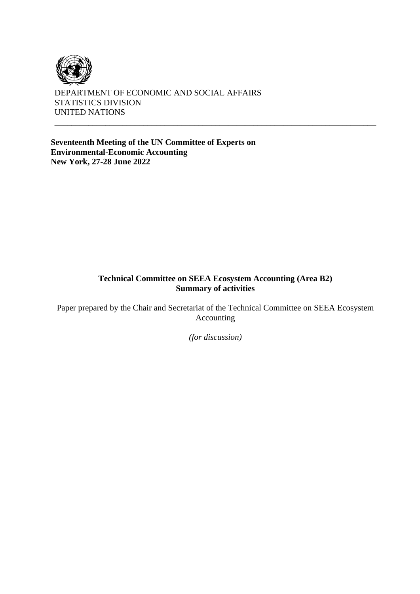

DEPARTMENT OF ECONOMIC AND SOCIAL AFFAIRS STATISTICS DIVISION UNITED NATIONS

**Seventeenth Meeting of the UN Committee of Experts on Environmental-Economic Accounting New York, 27-28 June 2022**

#### **Technical Committee on SEEA Ecosystem Accounting (Area B2) Summary of activities**

\_\_\_\_\_\_\_\_\_\_\_\_\_\_\_\_\_\_\_\_\_\_\_\_\_\_\_\_\_\_\_\_\_\_\_\_\_\_\_\_\_\_\_\_\_\_\_\_\_\_\_\_\_\_\_\_\_\_\_\_\_\_\_\_\_\_\_\_\_\_\_\_\_\_\_\_

Paper prepared by the Chair and Secretariat of the Technical Committee on SEEA Ecosystem Accounting

*(for discussion)*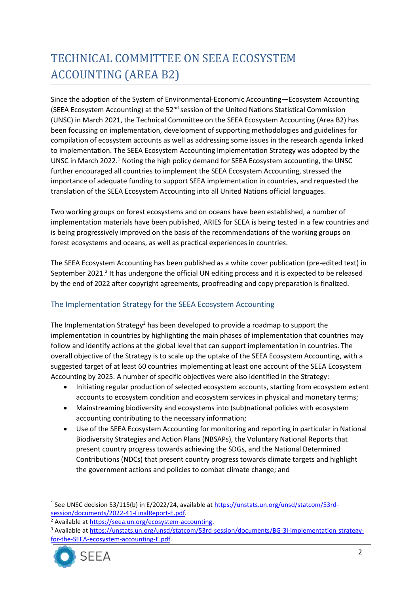# TECHNICAL COMMITTEE ON SEEA ECOSYSTEM ACCOUNTING (AREA B2)

Since the adoption of the System of Environmental-Economic Accounting—Ecosystem Accounting (SEEA Ecosystem Accounting) at the 52<sup>nd</sup> session of the United Nations Statistical Commission (UNSC) in March 2021, the Technical Committee on the SEEA Ecosystem Accounting (Area B2) has been focussing on implementation, development of supporting methodologies and guidelines for compilation of ecosystem accounts as well as addressing some issues in the research agenda linked to implementation. The SEEA Ecosystem Accounting Implementation Strategy was adopted by the UNSC in March 2022.<sup>1</sup> Noting the high policy demand for SEEA Ecosystem accounting, the UNSC further encouraged all countries to implement the SEEA Ecosystem Accounting, stressed the importance of adequate funding to support SEEA implementation in countries, and requested the translation of the SEEA Ecosystem Accounting into all United Nations official languages.

Two working groups on forest ecosystems and on oceans have been established, a number of implementation materials have been published, ARIES for SEEA is being tested in a few countries and is being progressively improved on the basis of the recommendations of the working groups on forest ecosystems and oceans, as well as practical experiences in countries.

The SEEA Ecosystem Accounting has been published as a white cover publication (pre-edited text) in September 2021.<sup>2</sup> It has undergone the official UN editing process and it is expected to be released by the end of 2022 after copyright agreements, proofreading and copy preparation is finalized.

# The Implementation Strategy for the SEEA Ecosystem Accounting

The Implementation Strategy<sup>3</sup> has been developed to provide a roadmap to support the implementation in countries by highlighting the main phases of implementation that countries may follow and identify actions at the global level that can support implementation in countries. The overall objective of the Strategy is to scale up the uptake of the SEEA Ecosystem Accounting, with a suggested target of at least 60 countries implementing at least one account of the SEEA Ecosystem Accounting by 2025. A number of specific objectives were also identified in the Strategy:

- Initiating regular production of selected ecosystem accounts, starting from ecosystem extent accounts to ecosystem condition and ecosystem services in physical and monetary terms;
- Mainstreaming biodiversity and ecosystems into (sub)national policies with ecosystem accounting contributing to the necessary information;
- Use of the SEEA Ecosystem Accounting for monitoring and reporting in particular in National Biodiversity Strategies and Action Plans (NBSAPs), the Voluntary National Reports that present country progress towards achieving the SDGs, and the National Determined Contributions (NDCs) that present country progress towards climate targets and highlight the government actions and policies to combat climate change; and

<sup>&</sup>lt;sup>3</sup> Available at [https://unstats.un.org/unsd/statcom/53rd-session/documents/BG-3l-implementation-strategy](https://unstats.un.org/unsd/statcom/53rd-session/documents/BG-3l-implementation-strategy-for-the-SEEA-ecosystem-accounting-E.pdf)[for-the-SEEA-ecosystem-accounting-E.pdf.](https://unstats.un.org/unsd/statcom/53rd-session/documents/BG-3l-implementation-strategy-for-the-SEEA-ecosystem-accounting-E.pdf)



<sup>&</sup>lt;sup>1</sup> See UNSC decision 53/115(b) in E/2022/24, available at https://unstats.un.org/unsd/statcom/53rdsession/documents/2022-41-FinalReport-E.pdf.

<sup>&</sup>lt;sup>2</sup> Available at [https://seea.un.org/ecosystem-accounting.](https://seea.un.org/ecosystem-accounting)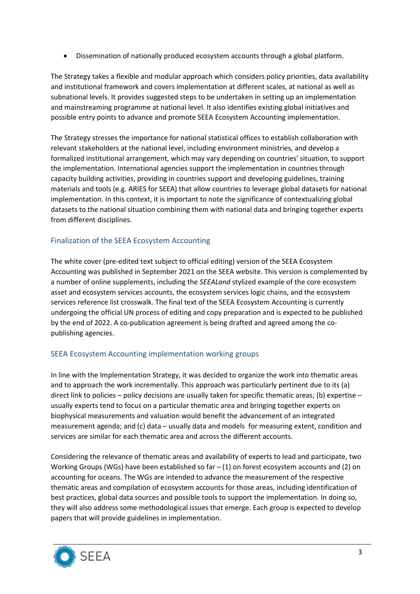• Dissemination of nationally produced ecosystem accounts through a global platform.

The Strategy takes a flexible and modular approach which considers policy priorities, data availability and institutional framework and covers implementation at different scales, at national as well as subnational levels. It provides suggested steps to be undertaken in setting up an implementation and mainstreaming programme at national level. It also identifies existing global initiatives and possible entry points to advance and promote SEEA Ecosystem Accounting implementation.

The Strategy stresses the importance for national statistical offices to establish collaboration with relevant stakeholders at the national level, including environment ministries, and develop a formalized institutional arrangement, which may vary depending on countries' situation, to support the implementation. International agencies support the implementation in countries through capacity building activities, providing in countries support and developing guidelines, training materials and tools (e.g. ARIES for SEEA) that allow countries to leverage global datasets for national implementation. In this context, it is important to note the significance of contextualizing global datasets to the national situation combining them with national data and bringing together experts from different disciplines.

# Finalization of the SEEA Ecosystem Accounting

The white cover (pre-edited text subject to official editing) version of the SEEA Ecosystem Accounting was published in September 2021 on the SEEA website. This version is complemented by a number of online supplements, including the *SEEALand* stylized example of the core ecosystem asset and ecosystem services accounts, the ecosystem services logic chains, and the ecosystem services reference list crosswalk. The final text of the SEEA Ecosystem Accounting is currently undergoing the official UN process of editing and copy preparation and is expected to be published by the end of 2022. A co-publication agreement is being drafted and agreed among the copublishing agencies.

# SEEA Ecosystem Accounting implementation working groups

In line with the Implementation Strategy, it was decided to organize the work into thematic areas and to approach the work incrementally. This approach was particularly pertinent due to its (a) direct link to policies – policy decisions are usually taken for specific thematic areas; (b) expertise – usually experts tend to focus on a particular thematic area and bringing together experts on biophysical measurements and valuation would benefit the advancement of an integrated measurement agenda; and (c) data – usually data and models for measuring extent, condition and services are similar for each thematic area and across the different accounts.

Considering the relevance of thematic areas and availability of experts to lead and participate, two Working Groups (WGs) have been established so far  $-$  (1) on forest ecosystem accounts and (2) on accounting for oceans. The WGs are intended to advance the measurement of the respective thematic areas and compilation of ecosystem accounts for those areas, including identification of best practices, global data sources and possible tools to support the implementation. In doing so, they will also address some methodological issues that emerge. Each group is expected to develop papers that will provide guidelines in implementation.

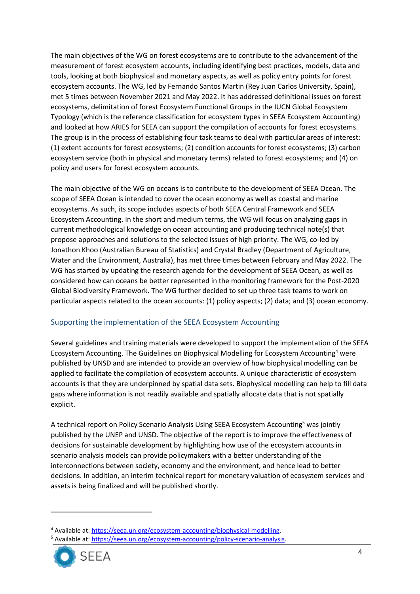The main objectives of the WG on forest ecosystems are to contribute to the advancement of the measurement of forest ecosystem accounts, including identifying best practices, models, data and tools, looking at both biophysical and monetary aspects, as well as policy entry points for forest ecosystem accounts. The WG, led by Fernando Santos Martin (Rey Juan Carlos University, Spain), met 5 times between November 2021 and May 2022. It has addressed definitional issues on forest ecosystems, delimitation of forest Ecosystem Functional Groups in the IUCN Global Ecosystem Typology (which is the reference classification for ecosystem types in SEEA Ecosystem Accounting) and looked at how ARIES for SEEA can support the compilation of accounts for forest ecosystems. The group is in the process of establishing four task teams to deal with particular areas of interest: (1) extent accounts for forest ecosystems; (2) condition accounts for forest ecosystems; (3) carbon ecosystem service (both in physical and monetary terms) related to forest ecosystems; and (4) on policy and users for forest ecosystem accounts.

The main objective of the WG on oceans is to contribute to the development of SEEA Ocean. The scope of SEEA Ocean is intended to cover the ocean economy as well as coastal and marine ecosystems. As such, its scope includes aspects of both SEEA Central Framework and SEEA Ecosystem Accounting. In the short and medium terms, the WG will focus on analyzing gaps in current methodological knowledge on ocean accounting and producing technical note(s) that propose approaches and solutions to the selected issues of high priority. The WG, co-led by Jonathon Khoo (Australian Bureau of Statistics) and Crystal Bradley (Department of Agriculture, Water and the Environment, Australia), has met three times between February and May 2022. The WG has started by updating the research agenda for the development of SEEA Ocean, as well as considered how can oceans be better represented in the monitoring framework for the Post-2020 Global Biodiversity Framework. The WG further decided to set up three task teams to work on particular aspects related to the ocean accounts: (1) policy aspects; (2) data; and (3) ocean economy.

#### Supporting the implementation of the SEEA Ecosystem Accounting

Several guidelines and training materials were developed to support the implementation of the SEEA Ecosystem Accounting. The Guidelines on Biophysical Modelling for Ecosystem Accounting<sup>4</sup> were published by UNSD and are intended to provide an overview of how biophysical modelling can be applied to facilitate the compilation of ecosystem accounts. A unique characteristic of ecosystem accounts is that they are underpinned by spatial data sets. Biophysical modelling can help to fill data gaps where information is not readily available and spatially allocate data that is not spatially explicit.

A technical report on Policy Scenario Analysis Using SEEA Ecosystem Accounting<sup>5</sup> was jointly published by the UNEP and UNSD. The objective of the report is to improve the effectiveness of decisions for sustainable development by highlighting how use of the ecosystem accounts in scenario analysis models can provide policymakers with a better understanding of the interconnections between society, economy and the environment, and hence lead to better decisions. In addition, an interim technical report for monetary valuation of ecosystem services and assets is being finalized and will be published shortly.

<sup>&</sup>lt;sup>5</sup> Available at: https://seea.un.org/ecosystem-accounting/policy-scenario-analysis.



<sup>4</sup> Available at: https://seea.un.org/ecosystem-accounting/biophysical-modelling.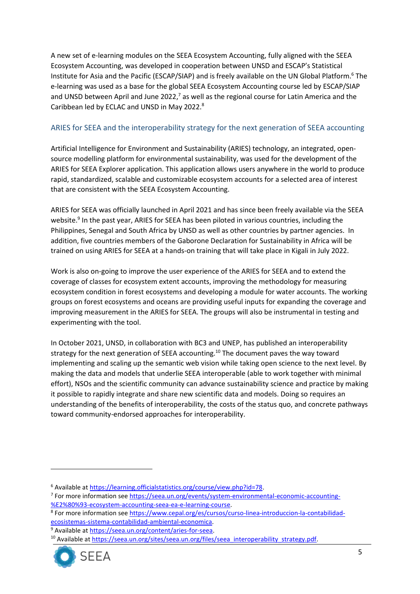A new set of e-learning modules on the SEEA Ecosystem Accounting, fully aligned with the SEEA Ecosystem Accounting, was developed in cooperation between UNSD and ESCAP's Statistical Institute for Asia and the Pacific (ESCAP/SIAP) and is freely available on the UN Global Platform.<sup>6</sup> The e-learning was used as a base for the global SEEA Ecosystem Accounting course led by ESCAP/SIAP and UNSD between April and June 2022,<sup>7</sup> as well as the regional course for Latin America and the Caribbean led by ECLAC and UNSD in May 2022.<sup>8</sup>

#### ARIES for SEEA and the interoperability strategy for the next generation of SEEA accounting

Artificial Intelligence for Environment and Sustainability (ARIES) technology, an integrated, opensource modelling platform for environmental sustainability, was used for the development of the ARIES for SEEA Explorer application. This application allows users anywhere in the world to produce rapid, standardized, scalable and customizable ecosystem accounts for a selected area of interest that are consistent with the SEEA Ecosystem Accounting.

ARIES for SEEA was officially launched in April 2021 and has since been freely available via the SEEA website.<sup>9</sup> In the past year, ARIES for SEEA has been piloted in various countries, including the Philippines, Senegal and South Africa by UNSD as well as other countries by partner agencies. In addition, five countries members of the Gaborone Declaration for Sustainability in Africa will be trained on using ARIES for SEEA at a hands-on training that will take place in Kigali in July 2022.

Work is also on-going to improve the user experience of the ARIES for SEEA and to extend the coverage of classes for ecosystem extent accounts, improving the methodology for measuring ecosystem condition in forest ecosystems and developing a module for water accounts. The working groups on forest ecosystems and oceans are providing useful inputs for expanding the coverage and improving measurement in the ARIES for SEEA. The groups will also be instrumental in testing and experimenting with the tool.

In October 2021, UNSD, in collaboration with BC3 and UNEP, has published an interoperability strategy for the next generation of SEEA accounting.<sup>10</sup> The document paves the way toward implementing and scaling up the semantic web vision while taking open science to the next level. By making the data and models that underlie SEEA interoperable (able to work together with minimal effort), NSOs and the scientific community can advance sustainability science and practice by making it possible to rapidly integrate and share new scientific data and models. Doing so requires an understanding of the benefits of interoperability, the costs of the status quo, and concrete pathways toward community-endorsed approaches for interoperability.

<sup>&</sup>lt;sup>10</sup> Available a[t https://seea.un.org/sites/seea.un.org/files/seea\\_interoperability\\_strategy.pdf.](https://seea.un.org/sites/seea.un.org/files/seea_interoperability_strategy.pdf)



<sup>&</sup>lt;sup>6</sup> Available at https://learning.officialstatistics.org/course/view.php?id=78.

<sup>&</sup>lt;sup>7</sup> For more information see https://seea.un.org/events/system-environmental-economic-accounting-%E2%80%93-ecosystem-accounting-seea-ea-e-learning-course.

<sup>&</sup>lt;sup>8</sup> For more information see https://www.cepal.org/es/cursos/curso-linea-introduccion-la-contabilidadecosistemas-sistema-contabilidad-ambiental-economica.

<sup>&</sup>lt;sup>9</sup> Available at [https://seea.un.org/content/aries-for-seea.](https://seea.un.org/content/aries-for-seea)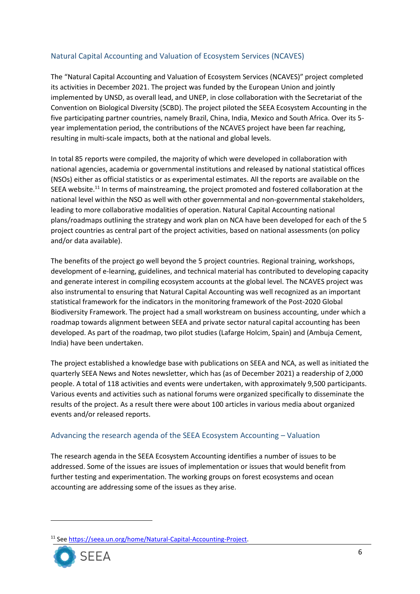# Natural Capital Accounting and Valuation of Ecosystem Services (NCAVES)

The "Natural Capital Accounting and Valuation of Ecosystem Services (NCAVES)" project completed its activities in December 2021. The project was funded by the European Union and jointly implemented by UNSD, as overall lead, and UNEP, in close collaboration with the Secretariat of the Convention on Biological Diversity (SCBD). The project piloted the SEEA Ecosystem Accounting in the five participating partner countries, namely Brazil, China, India, Mexico and South Africa. Over its 5 year implementation period, the contributions of the NCAVES project have been far reaching, resulting in multi-scale impacts, both at the national and global levels.

In total 85 reports were compiled, the majority of which were developed in collaboration with national agencies, academia or governmental institutions and released by national statistical offices (NSOs) either as official statistics or as experimental estimates. All the reports are available on the SEEA website.<sup>11</sup> In terms of mainstreaming, the project promoted and fostered collaboration at the national level within the NSO as well with other governmental and non-governmental stakeholders, leading to more collaborative modalities of operation. Natural Capital Accounting national plans/roadmaps outlining the strategy and work plan on NCA have been developed for each of the 5 project countries as central part of the project activities, based on national assessments (on policy and/or data available).

The benefits of the project go well beyond the 5 project countries. Regional training, workshops, development of e-learning, guidelines, and technical material has contributed to developing capacity and generate interest in compiling ecosystem accounts at the global level. The NCAVES project was also instrumental to ensuring that Natural Capital Accounting was well recognized as an important statistical framework for the indicators in the monitoring framework of the Post-2020 Global Biodiversity Framework. The project had a small workstream on business accounting, under which a roadmap towards alignment between SEEA and private sector natural capital accounting has been developed. As part of the roadmap, two pilot studies (Lafarge Holcim, Spain) and (Ambuja Cement, India) have been undertaken.

The project established a knowledge base with publications on SEEA and NCA, as well as initiated the quarterly SEEA News and Notes newsletter, which has (as of December 2021) a readership of 2,000 people. A total of 118 activities and events were undertaken, with approximately 9,500 participants. Various events and activities such as national forums were organized specifically to disseminate the results of the project. As a result there were about 100 articles in various media about organized events and/or released reports.

#### Advancing the research agenda of the SEEA Ecosystem Accounting – Valuation

The research agenda in the SEEA Ecosystem Accounting identifies a number of issues to be addressed. Some of the issues are issues of implementation or issues that would benefit from further testing and experimentation. The working groups on forest ecosystems and ocean accounting are addressing some of the issues as they arise.

<sup>&</sup>lt;sup>11</sup> See https://seea.un.org/home/Natural-Capital-Accounting-Project.